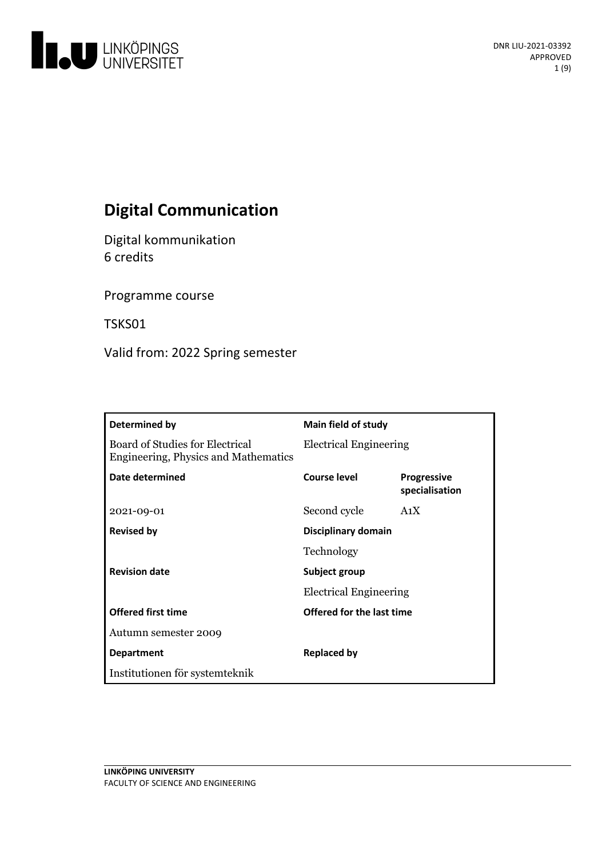

# **Digital Communication**

Digital kommunikation 6 credits

Programme course

TSKS01

Valid from: 2022 Spring semester

| Determined by                                                           | Main field of study                            |                                      |
|-------------------------------------------------------------------------|------------------------------------------------|--------------------------------------|
| Board of Studies for Electrical<br>Engineering, Physics and Mathematics | <b>Electrical Engineering</b>                  |                                      |
| Date determined                                                         | Course level                                   | <b>Progressive</b><br>specialisation |
| 2021-09-01                                                              | Second cycle                                   | A <sub>1</sub> X                     |
| <b>Revised by</b>                                                       | Disciplinary domain                            |                                      |
|                                                                         | Technology                                     |                                      |
| <b>Revision date</b>                                                    | Subject group<br><b>Electrical Engineering</b> |                                      |
|                                                                         |                                                |                                      |
| <b>Offered first time</b>                                               | Offered for the last time                      |                                      |
| Autumn semester 2009                                                    |                                                |                                      |
| <b>Department</b>                                                       | <b>Replaced by</b>                             |                                      |
| Institutionen för systemteknik                                          |                                                |                                      |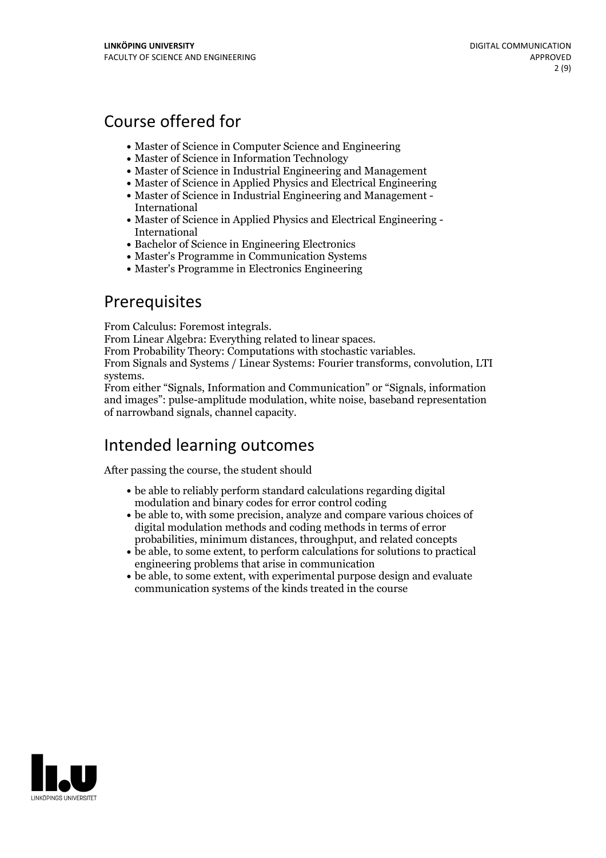## Course offered for

- Master of Science in Computer Science and Engineering
- Master of Science in Information Technology
- Master of Science in Industrial Engineering and Management
- Master of Science in Applied Physics and Electrical Engineering
- Master of Science in Industrial Engineering and Management International
- Master of Science in Applied Physics and Electrical Engineering International
- Bachelor of Science in Engineering Electronics
- Master's Programme in Communication Systems
- Master's Programme in Electronics Engineering

## **Prerequisites**

From Calculus: Foremost integrals.<br>From Linear Algebra: Everything related to linear spaces.<br>From Probability Theory: Computations with stochastic variables.<br>From Signals and Systems / Linear Systems: Fourier transforms, c

From either "Signals, Information and Communication" or "Signals, information and images": pulse-amplitude modulation, white noise, baseband representation of narrowband signals, channel capacity.

## Intended learning outcomes

After passing the course, the student should

- be able to reliably perform standard calculations regarding digital modulation and binary codes for error control coding
- be able to, with some precision, analyze and compare various choices of digital modulation methods and coding methods in terms of error probabilities, minimum distances, throughput, and related concepts
- be able, to some extent, to perform calculations for solutions to practical engineering problems that arise in communication
- be able, to some extent, with experimental purpose design and evaluate communication systems of the kinds treated in the course

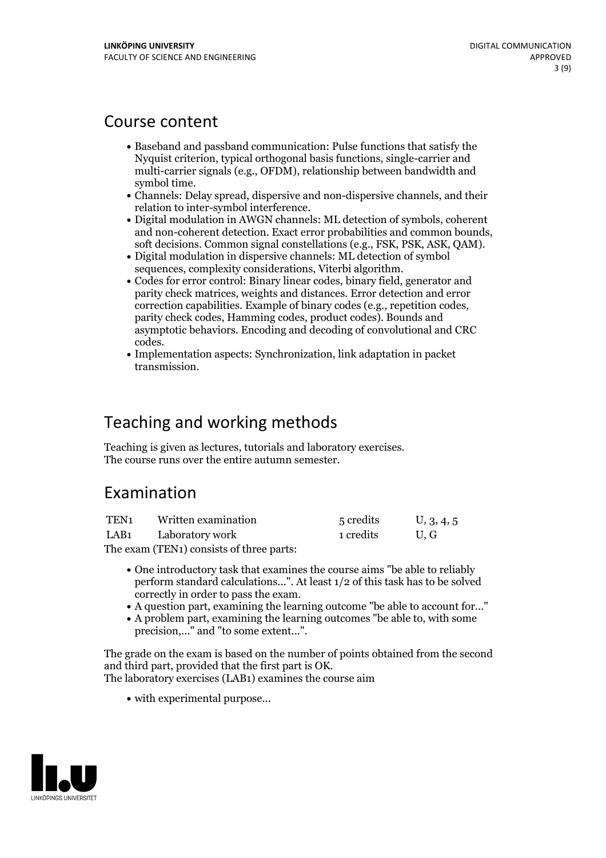## Course content

- Baseband and passband communication: Pulse functions that satisfy the Nyquist criterion, typical orthogonal basis functions, single-carrier and multi-carrier signals (e.g., OFDM), relationship between bandwidth and
- symbol time.<br>• Channels: Delay spread, dispersive and non-dispersive channels, and their relation to inter-symbol interference. Digital modulation in AWGN channels: ML detection of symbols, coherent
- and non-coherent detection. Exact error probabilities and common bounds, soft decisions. Common signal constellations (e.g., FSK, PSK, ASK, QAM).<br>• Digital modulation in dispersive channels: ML detection of symbol
- 
- sequences, complexity considerations, Viterbi algorithm.<br>• Codes for error control: Binary linear codes, binary field, generator and parity check matrices, weights and distances. Error detection and error correction capabilities. Example of binary codes (e.g., repetition codes, parity check codes, Hamming codes, product codes). Bounds and asymptotic behaviors. Encoding and decoding of convolutional and CRC codes. Implementation aspects: Synchronization, link adaptation in packet
- transmission.

## Teaching and working methods

Teaching is given aslectures, tutorials and laboratory exercises. The course runs over the entire autumn semester.

## Examination

| TEN1 | Written examination | 5 credits | U, 3, 4, 5 |
|------|---------------------|-----------|------------|
| LAB1 | Laboratory work     | 1 credits | U.G        |

The exam (TEN1) consists of three parts:

- One introductory task that examines the course aims "be able to reliably perform standard calculations...". At least 1/2 of this task has to be solved
- correctly in order to pass the exam. <sup>A</sup> question part, examining the learning outcome "be able to account for..." <sup>A</sup> problem part, examining the learning outcomes "be able to, with some
- precision,..." and "to some extent...".

The grade on the exam is based on the number of points obtained from the second and third part, provided that the first part is OK. The laboratory exercises (LAB1) examines the course aim

• with experimental purpose...

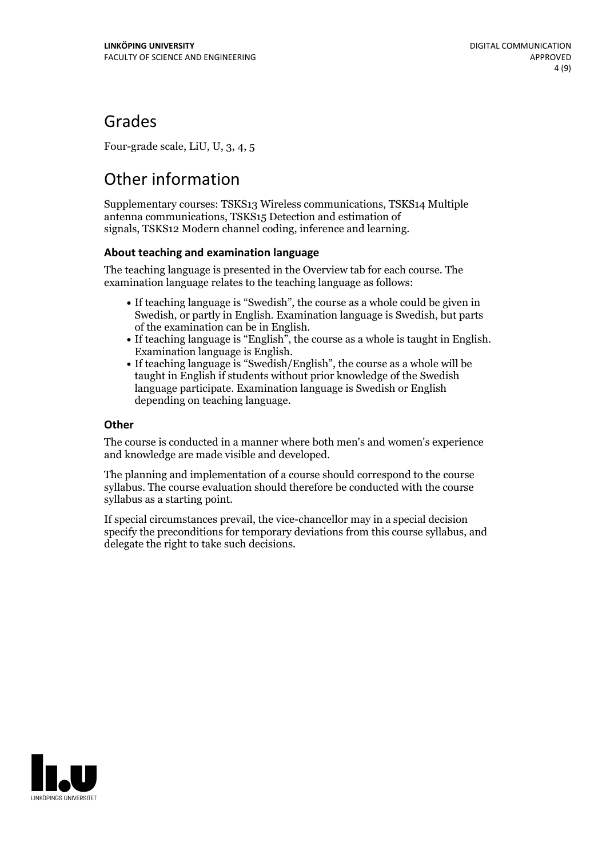## Grades

Four-grade scale, LiU, U, 3, 4, 5

# Other information

Supplementary courses: TSKS13 Wireless communications, TSKS14 Multiple antenna communications, TSKS15 Detection and estimation of signals, TSKS12 Modern channel coding, inference and learning.

### **About teaching and examination language**

The teaching language is presented in the Overview tab for each course. The examination language relates to the teaching language as follows:

- If teaching language is "Swedish", the course as a whole could be given in Swedish, or partly in English. Examination language is Swedish, but parts
- of the examination can be in English. If teaching language is "English", the course as <sup>a</sup> whole is taught in English. Examination language is English. If teaching language is "Swedish/English", the course as <sup>a</sup> whole will be
- taught in English if students without prior knowledge of the Swedish language participate. Examination language is Swedish or English depending on teaching language.

### **Other**

The course is conducted in a manner where both men's and women's experience and knowledge are made visible and developed.

The planning and implementation of a course should correspond to the course syllabus. The course evaluation should therefore be conducted with the course syllabus as a starting point.

If special circumstances prevail, the vice-chancellor may in a special decision specify the preconditions for temporary deviations from this course syllabus, and delegate the right to take such decisions.

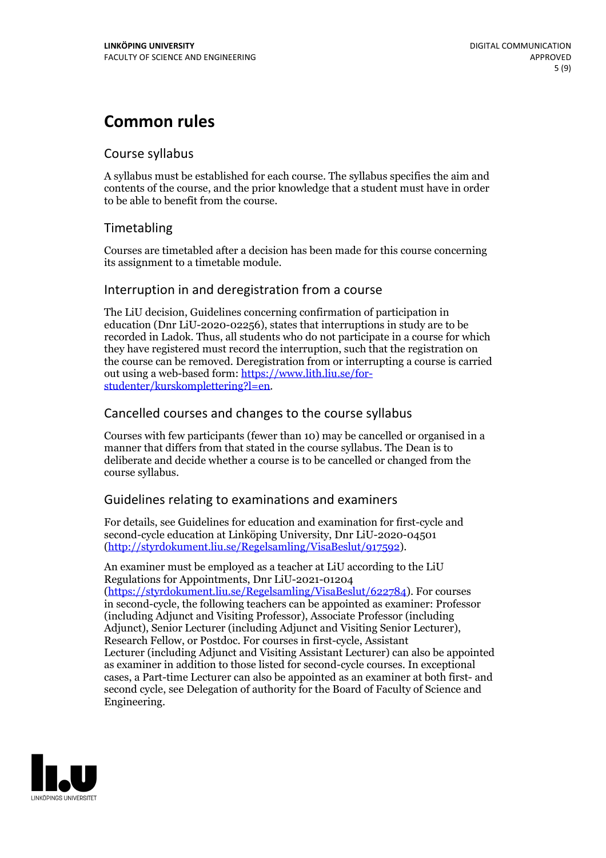## **Common rules**

### Course syllabus

A syllabus must be established for each course. The syllabus specifies the aim and contents of the course, and the prior knowledge that a student must have in order to be able to benefit from the course.

## Timetabling

Courses are timetabled after a decision has been made for this course concerning its assignment to a timetable module.

### Interruption in and deregistration from a course

The LiU decision, Guidelines concerning confirmation of participation in education (Dnr LiU-2020-02256), states that interruptions in study are to be recorded in Ladok. Thus, all students who do not participate in a course for which they have registered must record the interruption, such that the registration on the course can be removed. Deregistration from or interrupting a course is carried out using <sup>a</sup> web-based form: https://www.lith.liu.se/for- [studenter/kurskomplettering?l=en.](https://www.lith.liu.se/for-studenter/kurskomplettering?l=en)

## Cancelled courses and changes to the course syllabus

Courses with few participants (fewer than 10) may be cancelled or organised in a manner that differs from that stated in the course syllabus. The Dean is to deliberate and decide whether a course is to be cancelled or changed from the course syllabus.

## Guidelines relating to examinations and examiners

For details, see Guidelines for education and examination for first-cycle and second-cycle education at Linköping University, Dnr LiU-2020-04501 [\(http://styrdokument.liu.se/Regelsamling/VisaBeslut/917592\)](http://styrdokument.liu.se/Regelsamling/VisaBeslut/917592).

An examiner must be employed as a teacher at LiU according to the LiU Regulations for Appointments, Dnr LiU-2021-01204 [\(https://styrdokument.liu.se/Regelsamling/VisaBeslut/622784](https://styrdokument.liu.se/Regelsamling/VisaBeslut/622784)). For courses in second-cycle, the following teachers can be appointed as examiner: Professor (including Adjunct and Visiting Professor), Associate Professor (including Adjunct), Senior Lecturer (including Adjunct and Visiting Senior Lecturer), Research Fellow, or Postdoc. For courses in first-cycle, Assistant Lecturer (including Adjunct and Visiting Assistant Lecturer) can also be appointed as examiner in addition to those listed for second-cycle courses. In exceptional cases, a Part-time Lecturer can also be appointed as an examiner at both first- and second cycle, see Delegation of authority for the Board of Faculty of Science and Engineering.

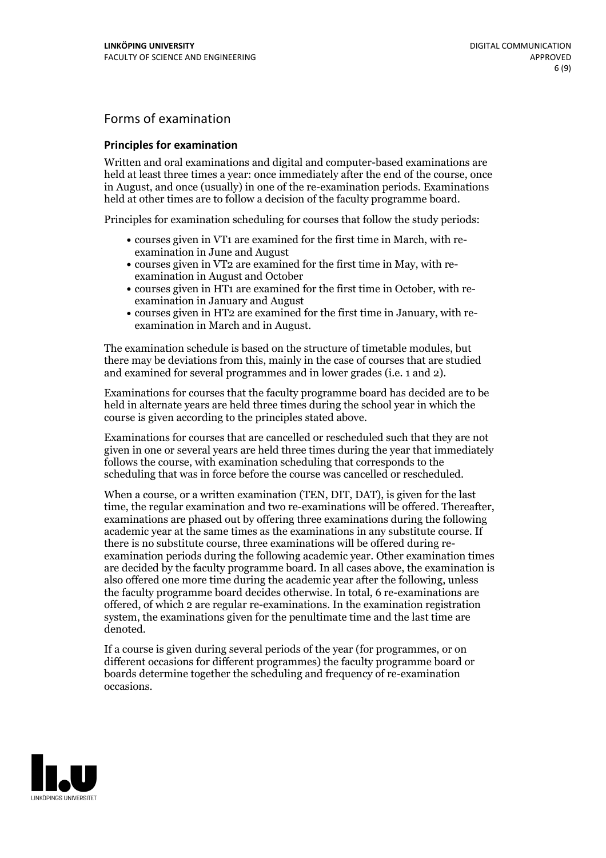## Forms of examination

#### **Principles for examination**

Written and oral examinations and digital and computer-based examinations are held at least three times a year: once immediately after the end of the course, once in August, and once (usually) in one of the re-examination periods. Examinations held at other times are to follow a decision of the faculty programme board.

Principles for examination scheduling for courses that follow the study periods:

- courses given in VT1 are examined for the first time in March, with re-examination in June and August
- courses given in VT2 are examined for the first time in May, with re-examination in August and October
- courses given in HT1 are examined for the first time in October, with re-examination in January and August
- courses given in HT2 are examined for the first time in January, with re-examination in March and in August.

The examination schedule is based on the structure of timetable modules, but there may be deviations from this, mainly in the case of courses that are studied and examined for several programmes and in lower grades (i.e. 1 and 2).

Examinations for courses that the faculty programme board has decided are to be held in alternate years are held three times during the school year in which the course is given according to the principles stated above.

Examinations for courses that are cancelled orrescheduled such that they are not given in one or several years are held three times during the year that immediately follows the course, with examination scheduling that corresponds to the scheduling that was in force before the course was cancelled or rescheduled.

When a course, or a written examination (TEN, DIT, DAT), is given for the last time, the regular examination and two re-examinations will be offered. Thereafter, examinations are phased out by offering three examinations during the following academic year at the same times as the examinations in any substitute course. If there is no substitute course, three examinations will be offered during re- examination periods during the following academic year. Other examination times are decided by the faculty programme board. In all cases above, the examination is also offered one more time during the academic year after the following, unless the faculty programme board decides otherwise. In total, 6 re-examinations are offered, of which 2 are regular re-examinations. In the examination registration system, the examinations given for the penultimate time and the last time are denoted.

If a course is given during several periods of the year (for programmes, or on different occasions for different programmes) the faculty programme board or boards determine together the scheduling and frequency of re-examination occasions.

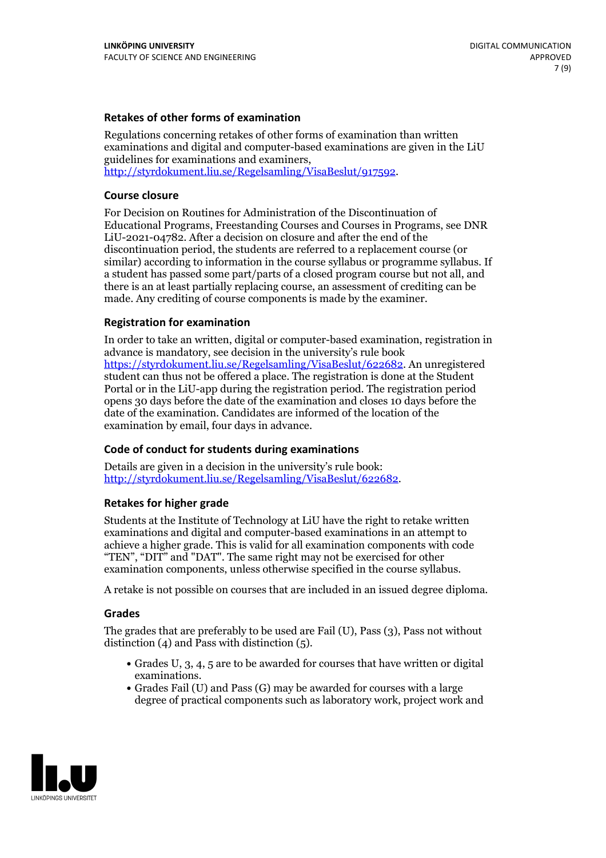### **Retakes of other forms of examination**

Regulations concerning retakes of other forms of examination than written examinations and digital and computer-based examinations are given in the LiU guidelines for examinations and examiners, [http://styrdokument.liu.se/Regelsamling/VisaBeslut/917592.](http://styrdokument.liu.se/Regelsamling/VisaBeslut/917592)

#### **Course closure**

For Decision on Routines for Administration of the Discontinuation of Educational Programs, Freestanding Courses and Courses in Programs, see DNR LiU-2021-04782. After a decision on closure and after the end of the discontinuation period, the students are referred to a replacement course (or similar) according to information in the course syllabus or programme syllabus. If a student has passed some part/parts of a closed program course but not all, and there is an at least partially replacing course, an assessment of crediting can be made. Any crediting of course components is made by the examiner.

### **Registration for examination**

In order to take an written, digital or computer-based examination, registration in advance is mandatory, see decision in the university's rule book [https://styrdokument.liu.se/Regelsamling/VisaBeslut/622682.](https://styrdokument.liu.se/Regelsamling/VisaBeslut/622682) An unregistered student can thus not be offered a place. The registration is done at the Student Portal or in the LiU-app during the registration period. The registration period opens 30 days before the date of the examination and closes 10 days before the date of the examination. Candidates are informed of the location of the examination by email, four days in advance.

### **Code of conduct for students during examinations**

Details are given in a decision in the university's rule book: <http://styrdokument.liu.se/Regelsamling/VisaBeslut/622682>.

#### **Retakes for higher grade**

Students at the Institute of Technology at LiU have the right to retake written examinations and digital and computer-based examinations in an attempt to achieve a higher grade. This is valid for all examination components with code "TEN", "DIT" and "DAT". The same right may not be exercised for other examination components, unless otherwise specified in the course syllabus.

A retake is not possible on courses that are included in an issued degree diploma.

#### **Grades**

The grades that are preferably to be used are Fail (U), Pass (3), Pass not without distinction  $(4)$  and Pass with distinction  $(5)$ .

- Grades U, 3, 4, 5 are to be awarded for courses that have written or digital examinations.<br>• Grades Fail (U) and Pass (G) may be awarded for courses with a large
- degree of practical components such as laboratory work, project work and

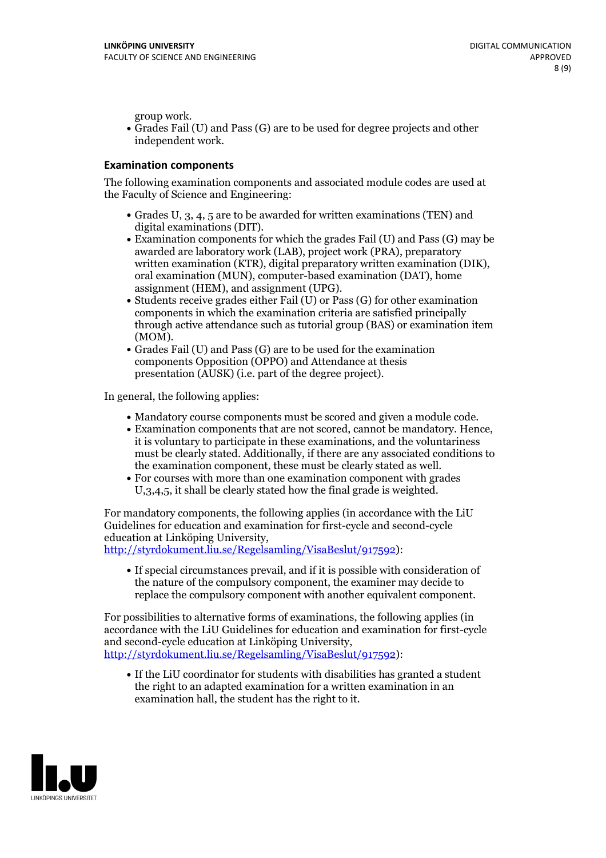group work.<br>• Grades Fail (U) and Pass (G) are to be used for degree projects and other independent work.

#### **Examination components**

The following examination components and associated module codes are used at the Faculty of Science and Engineering:

- Grades U, 3, 4, 5 are to be awarded for written examinations (TEN) and
- digital examinations (DIT).<br>• Examination components for which the grades Fail (U) and Pass (G) may be awarded are laboratory work (LAB), project work (PRA), preparatory written examination (KTR), digital preparatory written examination (DIK), oral examination (MUN), computer-based examination (DAT), home
- assignment (HEM), and assignment (UPG).<br>• Students receive grades either Fail (U) or Pass (G) for other examination components in which the examination criteria are satisfied principally through active attendance such as tutorial group (BAS) or examination item
- (MOM).<br>• Grades Fail (U) and Pass (G) are to be used for the examination components Opposition (OPPO) and Attendance at thesis presentation (AUSK) (i.e. part of the degree project).

In general, the following applies:

- 
- Mandatory course components must be scored and given <sup>a</sup> module code. Examination components that are not scored, cannot be mandatory. Hence, it is voluntary to participate in these examinations, and the voluntariness must be clearly stated. Additionally, if there are any associated conditions to
- the examination component, these must be clearly stated as well.<br>• For courses with more than one examination component with grades U,3,4,5, it shall be clearly stated how the final grade is weighted.

For mandatory components, the following applies (in accordance with the LiU Guidelines for education and examination for first-cycle and second-cycle education at Linköping University,<br>[http://styrdokument.liu.se/Regelsamling/VisaBeslut/917592\)](http://styrdokument.liu.se/Regelsamling/VisaBeslut/917592):

If special circumstances prevail, and if it is possible with consideration of the nature of the compulsory component, the examiner may decide to replace the compulsory component with another equivalent component.

For possibilities to alternative forms of examinations, the following applies (in accordance with the LiU Guidelines for education and examination for first-cycle [http://styrdokument.liu.se/Regelsamling/VisaBeslut/917592\)](http://styrdokument.liu.se/Regelsamling/VisaBeslut/917592):

If the LiU coordinator for students with disabilities has granted a student the right to an adapted examination for a written examination in an examination hall, the student has the right to it.